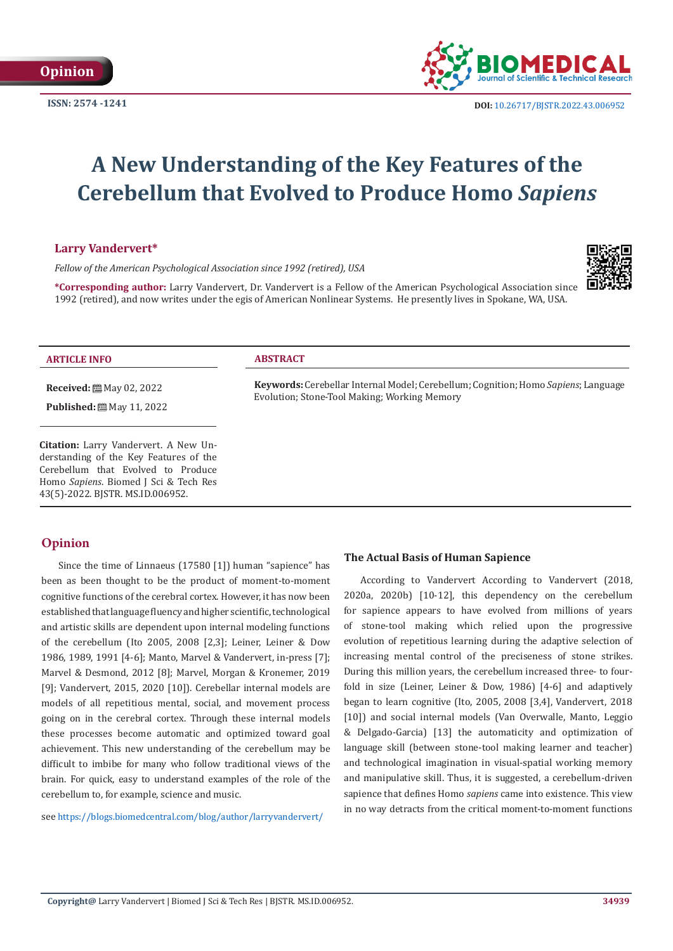

# **A New Understanding of the Key Features of the Cerebellum that Evolved to Produce Homo** *Sapiens*

# **Larry Vandervert\***

*Fellow of the American Psychological Association since 1992 (retired), USA*

**\*Corresponding author:** Larry Vandervert, Dr. Vandervert is a Fellow of the American Psychological Association since 1992 (retired), and now writes under the egis of American Nonlinear Systems. He presently lives in Spokane, WA, USA.



### **ARTICLE INFO ABSTRACT**

**Received:** ■ May 02, 2022

**Published:** ■ May 11, 2022

**Citation:** Larry Vandervert. A New Understanding of the Key Features of the Cerebellum that Evolved to Produce Homo *Sapiens*. Biomed J Sci & Tech Res 43(5)-2022. BJSTR. MS.ID.006952.

**Keywords:** Cerebellar Internal Model; Cerebellum; Cognition; Homo *Sapiens*; Language Evolution; Stone-Tool Making; Working Memory

# **Opinion**

Since the time of Linnaeus (17580 [1]) human "sapience" has been as been thought to be the product of moment-to-moment cognitive functions of the cerebral cortex. However, it has now been established that language fluency and higher scientific, technological and artistic skills are dependent upon internal modeling functions of the cerebellum (Ito 2005, 2008 [2,3]; Leiner, Leiner & Dow 1986, 1989, 1991 [4-6]; Manto, Marvel & Vandervert, in-press [7]; Marvel & Desmond, 2012 [8]; Marvel, Morgan & Kronemer, 2019 [9]; Vandervert, 2015, 2020 [10]). Cerebellar internal models are models of all repetitious mental, social, and movement process going on in the cerebral cortex. Through these internal models these processes become automatic and optimized toward goal achievement. This new understanding of the cerebellum may be difficult to imbibe for many who follow traditional views of the brain. For quick, easy to understand examples of the role of the cerebellum to, for example, science and music.

see <https://blogs.biomedcentral.com/blog/author/larryvandervert/>

## **The Actual Basis of Human Sapience**

According to Vandervert According to Vandervert (2018, 2020a, 2020b) [10-12], this dependency on the cerebellum for sapience appears to have evolved from millions of years of stone-tool making which relied upon the progressive evolution of repetitious learning during the adaptive selection of increasing mental control of the preciseness of stone strikes. During this million years, the cerebellum increased three- to fourfold in size (Leiner, Leiner & Dow, 1986) [4-6] and adaptively began to learn cognitive (Ito, 2005, 2008 [3,4], Vandervert, 2018 [10]) and social internal models (Van Overwalle, Manto, Leggio & Delgado-Garcia) [13] the automaticity and optimization of language skill (between stone-tool making learner and teacher) and technological imagination in visual-spatial working memory and manipulative skill. Thus, it is suggested, a cerebellum-driven sapience that defines Homo *sapiens* came into existence. This view in no way detracts from the critical moment-to-moment functions